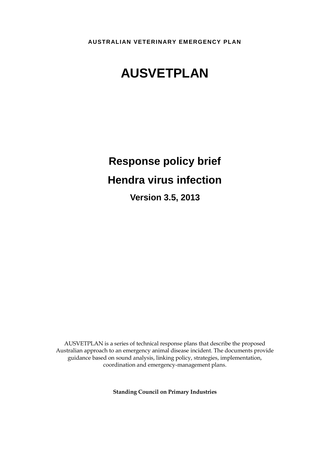**AUSTRALIAN VETERINARY EMERGENCY PLAN**

# **AUSVETPLAN**

# **Response policy brief Hendra virus infection**

**Version 3.5, 2013**

AUSVETPLAN is a series of technical response plans that describe the proposed Australian approach to an emergency animal disease incident. The documents provide guidance based on sound analysis, linking policy, strategies, implementation, coordination and emergency-management plans.

**Standing Council on Primary Industries**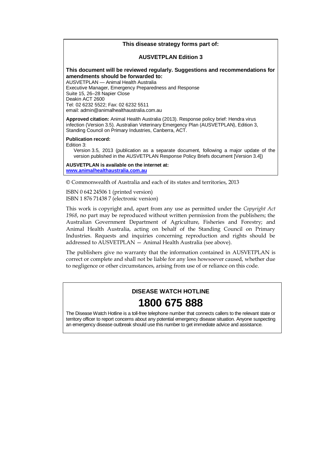#### **This disease strategy forms part of:**

#### **AUSVETPLAN Edition 3**

#### **This document will be reviewed regularly. Suggestions and recommendations for amendments should be forwarded to:**

AUSVETPLAN — Animal Health Australia Executive Manager, Emergency Preparedness and Response Suite 15, 26–28 Napier Close Deakin ACT 2600 Tel: 02 6232 5522; Fax: 02 6232 5511 email: admin@animalhealthaustralia.com.au

**Approved citation:** Animal Health Australia (2013). Response policy brief: Hendra virus infection (Version 3.5). Australian Veterinary Emergency Plan (AUSVETPLAN), Edition 3, Standing Council on Primary Industries, Canberra, ACT.

#### **Publication record:**

Edition 3:

Version 3.5, 2013 (publication as a separate document, following a major update of the version published in the AUSVETPLAN Response Policy Briefs document [Version 3.4])

**AUSVETPLAN is available on the internet at: [www.animalhealthaustralia.com.au](http://www.animalhealthaustralia.com.au/)**

© Commonwealth of Australia and each of its states and territories, 2013

ISBN 0 642 24506 1 (printed version) ISBN 1 876 71438 7 (electronic version)

This work is copyright and, apart from any use as permitted under the *Copyright Act 1968*, no part may be reproduced without written permission from the publishers; the Australian Government Department of Agriculture, Fisheries and Forestry; and Animal Health Australia, acting on behalf of the Standing Council on Primary Industries. Requests and inquiries concerning reproduction and rights should be addressed to AUSVETPLAN — Animal Health Australia (see above).

The publishers give no warranty that the information contained in AUSVETPLAN is correct or complete and shall not be liable for any loss howsoever caused, whether due to negligence or other circumstances, arising from use of or reliance on this code.

## **DISEASE WATCH HOTLINE 1800 675 888**

The Disease Watch Hotline is a toll-free telephone number that connects callers to the relevant state or territory officer to report concerns about any potential emergency disease situation. Anyone suspecting an emergency disease outbreak should use this number to get immediate advice and assistance.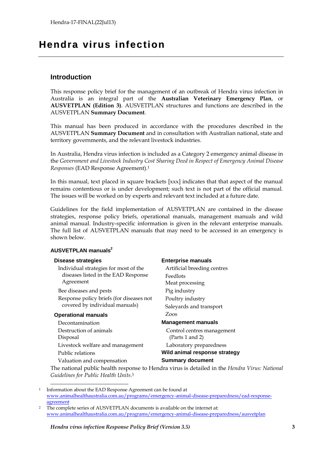## **Hendra virus infection**

### **Introduction**

This response policy brief for the management of an outbreak of Hendra virus infection in Australia is an integral part of the **Australian Veterinary Emergency Plan**, or **AUSVETPLAN (Edition 3)**. AUSVETPLAN structures and functions are described in the AUSVETPLAN **Summary Document**.

This manual has been produced in accordance with the procedures described in the AUSVETPLAN **Summary Document** and in consultation with Australian national, state and territory governments, and the relevant livestock industries.

In Australia, Hendra virus infection is included as a Category 2 emergency animal disease in the *Government and Livestock Industry Cost Sharing Deed in Respect of Emergency Animal Disease Responses* (EAD Response Agreement).<sup>1</sup>

In this manual, text placed in square brackets [xxx] indicates that that aspect of the manual remains contentious or is under development; such text is not part of the official manual. The issues will be worked on by experts and relevant text included at a future date.

Guidelines for the field implementation of AUSVETPLAN are contained in the disease strategies, response policy briefs, operational manuals, management manuals and wild animal manual. Industry-specific information is given in the relevant enterprise manuals. The full list of AUSVETPLAN manuals that may need to be accessed in an emergency is shown below.

#### **AUSVETPLAN manuals<sup>2</sup>**

Individual strategies for most of the diseases listed in the EAD Response Agreement

Bee diseases and pests Pig industry Response policy briefs (for diseases not covered by individual manuals)

#### **Operational manuals** Zoos

-

Decontamination **Management manuals** Destruction of animals Disposal Livestock welfare and management Laboratory preparedness Public relations **Wild animal response strategy** Valuation and compensation **Summary document**

#### **Disease strategies Enterprise manuals**

Artificial breeding centres Feedlots Meat processing Poultry industry Saleyards and transport

Control centres management (Parts 1 and 2)

The national public health response to Hendra virus is detailed in the *Hendra Virus: National Guidelines for Public Health Units*. 3

<sup>1</sup> Information about the EAD Response Agreement can be found at [www.animalhealthaustralia.com.au/programs/emergency-animal-disease-preparedness/ead-response](http://www.animalhealthaustralia.com.au/programs/emergency-animal-disease-preparedness/ead-response-agreement)[agreement](http://www.animalhealthaustralia.com.au/programs/emergency-animal-disease-preparedness/ead-response-agreement)

<sup>&</sup>lt;sup>2</sup> The complete series of AUSVETPLAN documents is available on the internet at: [www.animalhealthaustralia.com.au/programs/emergency-animal-disease-preparedness/ausvetplan](http://www.animalhealthaustralia.com.au/programs/emergency-animal-disease-preparedness/ausvetplan)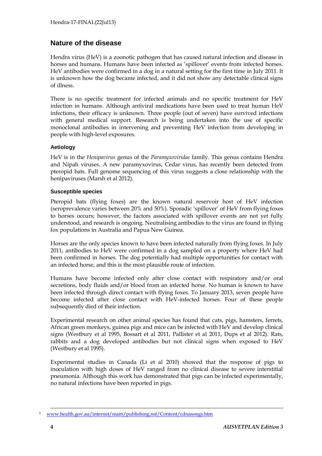### **Nature of the disease**

Hendra virus (HeV) is a zoonotic pathogen that has caused natural infection and disease in horses and humans. Humans have been infected as 'spillover' events from infected horses. HeV antibodies were confirmed in a dog in a natural setting for the first time in July 2011. It is unknown how the dog became infected, and it did not show any detectable clinical signs of illness.

There is no specific treatment for infected animals and no specific treatment for HeV infection in humans. Although antiviral medications have been used to treat human HeV infections, their efficacy is unknown. Three people (out of seven) have survived infections with general medical support. Research is being undertaken into the use of specific monoclonal antibodies in intervening and preventing HeV infection from developing in people with high-level exposures.

#### **Aetiology**

HeV is in the *Henipavirus* genus of the *Paramyxoviridae* family. This genus contains Hendra and Nipah viruses. A new paramyxovirus, Cedar virus, has recently been detected from pteropid bats. Full genome sequencing of this virus suggests a close relationship with the henipaviruses (Marsh et al 2012).

#### **Susceptible species**

Pteropid bats (flying foxes) are the known natural reservoir host of HeV infection (seroprevalence varies between 20% and 50%). Sporadic 'spillover' of HeV from flying foxes to horses occurs; however, the factors associated with spillover events are not yet fully understood, and research is ongoing. Neutralising antibodies to the virus are found in flying fox populations in Australia and Papua New Guinea.

Horses are the only species known to have been infected naturally from flying foxes. In July 2011, antibodies to HeV were confirmed in a dog sampled on a property where HeV had been confirmed in horses. The dog potentially had multiple opportunities for contact with an infected horse, and this is the most plausible route of infection.

Humans have become infected only after close contact with respiratory and/or oral secretions, body fluids and/or blood from an infected horse. No human is known to have been infected through direct contact with flying foxes. To January 2013, seven people have become infected after close contact with HeV-infected horses. Four of these people subsequently died of their infection.

Experimental research on other animal species has found that cats, pigs, hamsters, ferrets, African green monkeys, guinea pigs and mice can be infected with HeV and develop clinical signs (Westbury et al 1995, Bossart et al 2011, Pallister et al 2011, Dups et al 2012). Rats, rabbits and a dog developed antibodies but not clinical signs when exposed to HeV (Westbury et al 1995).

Experimental studies in Canada (Li et al 2010) showed that the response of pigs to inoculation with high doses of HeV ranged from no clinical disease to severe interstitial pneumonia. Although this work has demonstrated that pigs can be infected experimentally, no natural infections have been reported in pigs.

<sup>3</sup> [www.health.gov.au/internet/main/publishing.nsf/Content/cdnasongs.htm](http://www.health.gov.au/internet/main/publishing.nsf/Content/cdnasongs.htm)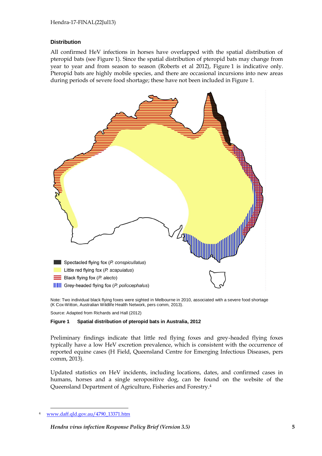#### **Distribution**

All confirmed HeV infections in horses have overlapped with the spatial distribution of pteropid bats (see Figure 1). Since the spatial distribution of pteropid bats may change from year to year and from season to season (Roberts et al 2012), Figure 1 is indicative only. Pteropid bats are highly mobile species, and there are occasional incursions into new areas during periods of severe food shortage; these have not been included in Figure 1.



Note: Two individual black flying foxes were sighted in Melbourne in 2010, associated with a severe food shortage (K Cox-Witton, Australian Wildlife Health Network, pers comm, 2013).

Source: Adapted from Richards and Hall (2012)

#### **Figure 1 Spatial distribution of pteropid bats in Australia, 2012**

Preliminary findings indicate that little red flying foxes and grey-headed flying foxes typically have a low HeV excretion prevalence, which is consistent with the occurrence of reported equine cases (H Field, Queensland Centre for Emerging Infectious Diseases, pers comm, 2013).

Updated statistics on HeV incidents, including locations, dates, and confirmed cases in humans, horses and a single seropositive dog, can be found on the website of the Queensland Department of Agriculture, Fisheries and Forestry. 4

[www.daff.qld.gov.au/4790\\_13371.htm](http://www.daff.qld.gov.au/4790_13371.htm)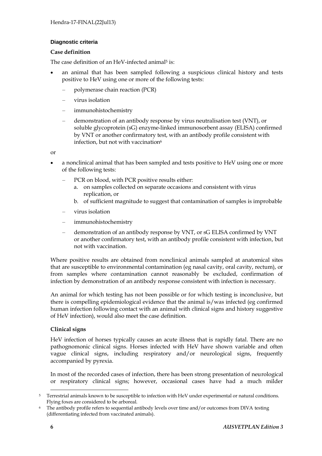#### **Diagnostic criteria**

#### **Case definition**

The case definition of an HeV-infected animal<sup>5</sup> is:

- an animal that has been sampled following a suspicious clinical history and tests positive to HeV using one or more of the following tests:
	- polymerase chain reaction (PCR)
	- virus isolation
	- immunohistochemistry
	- demonstration of an antibody response by virus neutralisation test (VNT), or soluble glycoprotein (sG) enzyme-linked immunosorbent assay (ELISA) confirmed by VNT or another confirmatory test, with an antibody profile consistent with infection, but not with vaccination<sup>6</sup>

or

- a nonclinical animal that has been sampled and tests positive to HeV using one or more of the following tests:
	- PCR on blood, with PCR positive results either:
		- a. on samples collected on separate occasions and consistent with virus replication, or
		- b. of sufficient magnitude to suggest that contamination of samples is improbable
	- virus isolation
	- immunohistochemistry
	- demonstration of an antibody response by VNT, or sG ELISA confirmed by VNT or another confirmatory test, with an antibody profile consistent with infection, but not with vaccination.

Where positive results are obtained from nonclinical animals sampled at anatomical sites that are susceptible to environmental contamination (eg nasal cavity, oral cavity, rectum), or from samples where contamination cannot reasonably be excluded, confirmation of infection by demonstration of an antibody response consistent with infection is necessary.

An animal for which testing has not been possible or for which testing is inconclusive, but there is compelling epidemiological evidence that the animal is/was infected (eg confirmed human infection following contact with an animal with clinical signs and history suggestive of HeV infection), would also meet the case definition.

#### **Clinical signs**

HeV infection of horses typically causes an acute illness that is rapidly fatal. There are no pathognomonic clinical signs. Horses infected with HeV have shown variable and often vague clinical signs, including respiratory and/or neurological signs, frequently accompanied by pyrexia.

In most of the recorded cases of infection, there has been strong presentation of neurological or respiratory clinical signs; however, occasional cases have had a much milder

<sup>-</sup><sup>5</sup> Terrestrial animals known to be susceptible to infection with HeV under experimental or natural conditions. Flying foxes are considered to be arboreal.

<sup>6</sup> The antibody profile refers to sequential antibody levels over time and/or outcomes from DIVA testing (differentiating infected from vaccinated animals).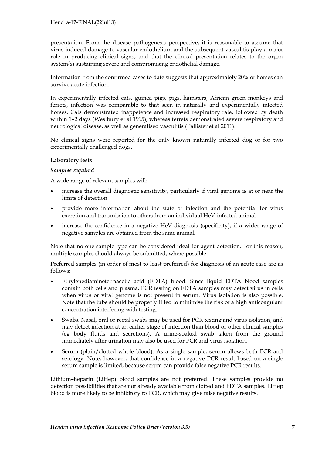presentation. From the disease pathogenesis perspective, it is reasonable to assume that virus-induced damage to vascular endothelium and the subsequent vasculitis play a major role in producing clinical signs, and that the clinical presentation relates to the organ system(s) sustaining severe and compromising endothelial damage.

Information from the confirmed cases to date suggests that approximately 20% of horses can survive acute infection.

In experimentally infected cats, guinea pigs, pigs, hamsters, African green monkeys and ferrets, infection was comparable to that seen in naturally and experimentally infected horses. Cats demonstrated inappetence and increased respiratory rate, followed by death within 1–2 days (Westbury et al 1995), whereas ferrets demonstrated severe respiratory and neurological disease, as well as generalised vasculitis (Pallister et al 2011).

No clinical signs were reported for the only known naturally infected dog or for two experimentally challenged dogs.

#### **Laboratory tests**

#### *Samples required*

A wide range of relevant samples will:

- increase the overall diagnostic sensitivity, particularly if viral genome is at or near the limits of detection
- provide more information about the state of infection and the potential for virus excretion and transmission to others from an individual HeV-infected animal
- increase the confidence in a negative HeV diagnosis (specificity), if a wider range of negative samples are obtained from the same animal.

Note that no one sample type can be considered ideal for agent detection. For this reason, multiple samples should always be submitted, where possible.

Preferred samples (in order of most to least preferred) for diagnosis of an acute case are as follows:

- Ethylenediaminetetraacetic acid (EDTA) blood. Since liquid EDTA blood samples contain both cells and plasma, PCR testing on EDTA samples may detect virus in cells when virus or viral genome is not present in serum. Virus isolation is also possible. Note that the tube should be properly filled to minimise the risk of a high anticoagulant concentration interfering with testing.
- Swabs. Nasal, oral or rectal swabs may be used for PCR testing and virus isolation, and may detect infection at an earlier stage of infection than blood or other clinical samples (eg body fluids and secretions). A urine-soaked swab taken from the ground immediately after urination may also be used for PCR and virus isolation.
- Serum (plain/clotted whole blood). As a single sample, serum allows both PCR and serology. Note, however, that confidence in a negative PCR result based on a single serum sample is limited, because serum can provide false negative PCR results.

Lithium–heparin (LiHep) blood samples are not preferred. These samples provide no detection possibilities that are not already available from clotted and EDTA samples. LiHep blood is more likely to be inhibitory to PCR, which may give false negative results.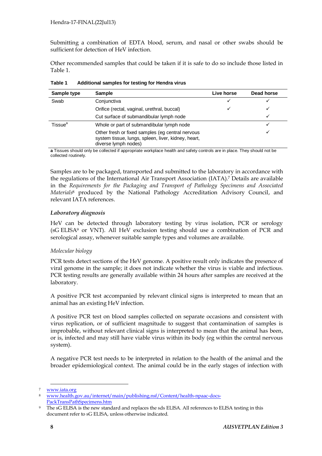Submitting a combination of EDTA blood, serum, and nasal or other swabs should be sufficient for detection of HeV infection.

Other recommended samples that could be taken if it is safe to do so include those listed in Table 1.

| Sample type         | Sample                                                                                                                          | Live horse | Dead horse |
|---------------------|---------------------------------------------------------------------------------------------------------------------------------|------------|------------|
| Swab                | Conjunctiva                                                                                                                     | ✓          |            |
|                     | Orifice (rectal, vaginal, urethral, buccal)                                                                                     | ✓          | ✓          |
|                     | Cut surface of submandibular lymph node                                                                                         |            | ✓          |
| Tissue <sup>a</sup> | Whole or part of submandibular lymph node                                                                                       |            |            |
|                     | Other fresh or fixed samples (eg central nervous<br>system tissue, lungs, spleen, liver, kidney, heart,<br>diverse lymph nodes) |            | √          |

**Table 1 Additional samples for testing for Hendra virus**

**a** Tissues should only be collected if appropriate workplace health and safety controls are in place. They should not be collected routinely.

Samples are to be packaged, transported and submitted to the laboratory in accordance with the regulations of the International Air Transport Association (IATA). <sup>7</sup> Details are available in the *Requirements for the Packaging and Transport of Pathology Specimens and Associated Materials* <sup>8</sup> produced by the National Pathology Accreditation Advisory Council, and relevant IATA references.

#### *Laboratory diagnosis*

HeV can be detected through laboratory testing by virus isolation, PCR or serology (sG ELISA<sup>9</sup> or VNT). All HeV exclusion testing should use a combination of PCR and serological assay, whenever suitable sample types and volumes are available.

#### *Molecular biology*

PCR tests detect sections of the HeV genome. A positive result only indicates the presence of viral genome in the sample; it does not indicate whether the virus is viable and infectious. PCR testing results are generally available within 24 hours after samples are received at the laboratory.

A positive PCR test accompanied by relevant clinical signs is interpreted to mean that an animal has an existing HeV infection.

A positive PCR test on blood samples collected on separate occasions and consistent with virus replication, or of sufficient magnitude to suggest that contamination of samples is improbable, without relevant clinical signs is interpreted to mean that the animal has been, or is, infected and may still have viable virus within its body (eg within the central nervous system).

A negative PCR test needs to be interpreted in relation to the health of the animal and the broader epidemiological context. The animal could be in the early stages of infection with

<sup>7</sup> [www.iata.org](http://www.iata.org/)

<sup>8</sup> [www.health.gov.au/internet/main/publishing.nsf/Content/health-npaac-docs-](http://www.health.gov.au/internet/main/publishing.nsf/Content/health-npaac-docs-PackTransPathSpecimens.htm)[PackTransPathSpecimens.htm](http://www.health.gov.au/internet/main/publishing.nsf/Content/health-npaac-docs-PackTransPathSpecimens.htm)

The sG ELISA is the new standard and replaces the sds ELISA. All references to ELISA testing in this document refer to sG ELISA, unless otherwise indicated.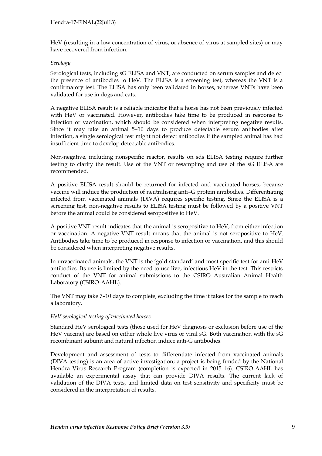HeV (resulting in a low concentration of virus, or absence of virus at sampled sites) or may have recovered from infection.

#### *Serology*

Serological tests, including sG ELISA and VNT, are conducted on serum samples and detect the presence of antibodies to HeV. The ELISA is a screening test, whereas the VNT is a confirmatory test. The ELISA has only been validated in horses, whereas VNTs have been validated for use in dogs and cats.

A negative ELISA result is a reliable indicator that a horse has not been previously infected with HeV or vaccinated. However, antibodies take time to be produced in response to infection or vaccination, which should be considered when interpreting negative results. Since it may take an animal 5–10 days to produce detectable serum antibodies after infection, a single serological test might not detect antibodies if the sampled animal has had insufficient time to develop detectable antibodies.

Non-negative, including nonspecific reactor, results on sds ELISA testing require further testing to clarify the result. Use of the VNT or resampling and use of the sG ELISA are recommended.

A positive ELISA result should be returned for infected and vaccinated horses, because vaccine will induce the production of neutralising anti–G protein antibodies. Differentiating infected from vaccinated animals (DIVA) requires specific testing. Since the ELISA is a screening test, non-negative results to ELISA testing must be followed by a positive VNT before the animal could be considered seropositive to HeV.

A positive VNT result indicates that the animal is seropositive to HeV, from either infection or vaccination. A negative VNT result means that the animal is not seropositive to HeV. Antibodies take time to be produced in response to infection or vaccination, and this should be considered when interpreting negative results.

In unvaccinated animals, the VNT is the 'gold standard' and most specific test for anti-HeV antibodies. Its use is limited by the need to use live, infectious HeV in the test. This restricts conduct of the VNT for animal submissions to the CSIRO Australian Animal Health Laboratory (CSIRO-AAHL).

The VNT may take 7–10 days to complete, excluding the time it takes for the sample to reach a laboratory.

#### *HeV serological testing of vaccinated horses*

Standard HeV serological tests (those used for HeV diagnosis or exclusion before use of the HeV vaccine) are based on either whole live virus or viral sG. Both vaccination with the sG recombinant subunit and natural infection induce anti-G antibodies.

Development and assessment of tests to differentiate infected from vaccinated animals (DIVA testing) is an area of active investigation; a project is being funded by the National Hendra Virus Research Program (completion is expected in 2015–16). CSIRO-AAHL has available an experimental assay that can provide DIVA results. The current lack of validation of the DIVA tests, and limited data on test sensitivity and specificity must be considered in the interpretation of results.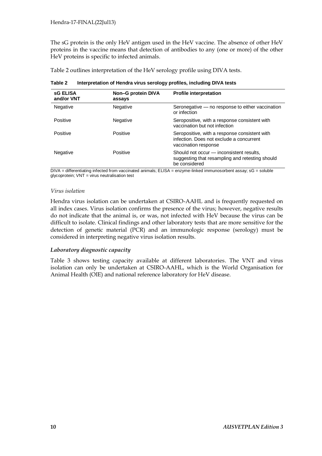The sG protein is the only HeV antigen used in the HeV vaccine. The absence of other HeV proteins in the vaccine means that detection of antibodies to any (one or more) of the other HeV proteins is specific to infected animals.

Table 2 outlines interpretation of the HeV serology profile using DIVA tests.

| <b>sG ELISA</b><br>and/or VNT | Non-G protein DIVA<br>assays | <b>Profile interpretation</b>                                                                                     |
|-------------------------------|------------------------------|-------------------------------------------------------------------------------------------------------------------|
| <b>Negative</b>               | Negative                     | Seronegative - no response to either vaccination<br>or infection                                                  |
| Positive                      | Negative                     | Seropositive, with a response consistent with<br>vaccination but not infection                                    |
| Positive                      | Positive                     | Seropositive, with a response consistent with<br>infection. Does not exclude a concurrent<br>vaccination response |
| Negative                      | Positive                     | Should not occur - inconsistent results,<br>suggesting that resampling and retesting should<br>be considered      |

**Table 2 Interpretation of Hendra virus serology profiles, including DIVA tests**

DIVA = differentiating infected from vaccinated animals; ELISA = enzyme-linked immunosorbent assay; sG = soluble glycoprotein; VNT = virus neutralisation test

#### *Virus isolation*

Hendra virus isolation can be undertaken at CSIRO-AAHL and is frequently requested on all index cases. Virus isolation confirms the presence of the virus; however, negative results do not indicate that the animal is, or was, not infected with HeV because the virus can be difficult to isolate. Clinical findings and other laboratory tests that are more sensitive for the detection of genetic material (PCR) and an immunologic response (serology) must be considered in interpreting negative virus isolation results.

#### *Laboratory diagnostic capacity*

Table 3 shows testing capacity available at different laboratories. The VNT and virus isolation can only be undertaken at CSIRO-AAHL, which is the World Organisation for Animal Health (OIE) and national reference laboratory for HeV disease.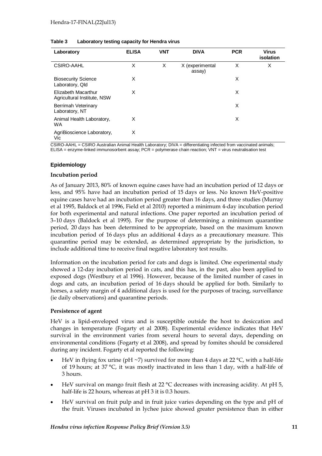| Laboratory                                         | <b>ELISA</b> | <b>VNT</b> | <b>DIVA</b>               | <b>PCR</b> | <b>Virus</b><br>isolation |
|----------------------------------------------------|--------------|------------|---------------------------|------------|---------------------------|
| <b>CSIRO-AAHL</b>                                  | X            | X          | X (experimental<br>assay) | X          | X                         |
| <b>Biosecurity Science</b><br>Laboratory, Qld      | X            |            |                           | X          |                           |
| Elizabeth Macarthur<br>Agricultural Institute, NSW | X            |            |                           | X          |                           |
| Berrimah Veterinary<br>Laboratory, NT              |              |            |                           | X          |                           |
| Animal Health Laboratory,<br><b>WA</b>             | X            |            |                           | X          |                           |
| AgriBioscience Laboratory,<br>Vic                  | X            |            |                           |            |                           |

#### **Table 3 Laboratory testing capacity for Hendra virus**

CSIRO-AAHL = CSIRO Australian Animal Health Laboratory; DIVA = differentiating infected from vaccinated animals; ELISA = enzyme-linked immunosorbent assay; PCR = polymerase chain reaction; VNT = virus neutralisation test

#### **Epidemiology**

#### **Incubation period**

As of January 2013, 80% of known equine cases have had an incubation period of 12 days or less, and 95% have had an incubation period of 15 days or less. No known HeV-positive equine cases have had an incubation period greater than 16 days, and three studies (Murray et al 1995, Baldock et al 1996, Field et al 2010) reported a minimum 4-day incubation period for both experimental and natural infections. One paper reported an incubation period of 3–10 days (Baldock et al 1995). For the purpose of determining a minimum quarantine period, 20 days has been determined to be appropriate, based on the maximum known incubation period of 16 days plus an additional 4 days as a precautionary measure. This quarantine period may be extended, as determined appropriate by the jurisdiction, to include additional time to receive final negative laboratory test results.

Information on the incubation period for cats and dogs is limited. One experimental study showed a 12-day incubation period in cats, and this has, in the past, also been applied to exposed dogs (Westbury et al 1996). However, because of the limited number of cases in dogs and cats, an incubation period of 16 days should be applied for both. Similarly to horses, a safety margin of 4 additional days is used for the purposes of tracing, surveillance (ie daily observations) and quarantine periods.

#### **Persistence of agent**

HeV is a lipid-enveloped virus and is susceptible outside the host to desiccation and changes in temperature (Fogarty et al 2008). Experimental evidence indicates that HeV survival in the environment varies from several hours to several days, depending on environmental conditions (Fogarty et al 2008), and spread by fomites should be considered during any incident. Fogarty et al reported the following:

- HeV in flying fox urine (pH  $\sim$ 7) survived for more than 4 days at 22 °C, with a half-life of 19 hours; at 37 °C, it was mostly inactivated in less than 1 day, with a half-life of 3 hours.
- HeV survival on mango fruit flesh at 22 °C decreases with increasing acidity. At pH 5, half-life is 22 hours, whereas at pH 3 it is 0.3 hours.
- HeV survival on fruit pulp and in fruit juice varies depending on the type and pH of the fruit. Viruses incubated in lychee juice showed greater persistence than in either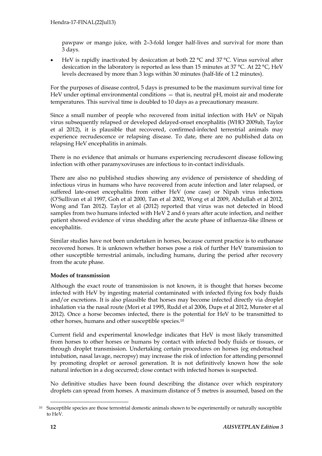pawpaw or mango juice, with 2–3-fold longer half-lives and survival for more than 3 days.

 HeV is rapidly inactivated by desiccation at both 22 °C and 37 °C. Virus survival after desiccation in the laboratory is reported as less than 15 minutes at 37 °C. At 22 °C, HeV levels decreased by more than 3 logs within 30 minutes (half-life of 1.2 minutes).

For the purposes of disease control, 5 days is presumed to be the maximum survival time for HeV under optimal environmental conditions — that is, neutral pH, moist air and moderate temperatures. This survival time is doubled to 10 days as a precautionary measure.

Since a small number of people who recovered from initial infection with HeV or Nipah virus subsequently relapsed or developed delayed-onset encephalitis (WHO 2009ab, Taylor et al 2012), it is plausible that recovered, confirmed-infected terrestrial animals may experience recrudescence or relapsing disease. To date, there are no published data on relapsing HeV encephalitis in animals.

There is no evidence that animals or humans experiencing recrudescent disease following infection with other paramyxoviruses are infectious to in-contact individuals.

There are also no published studies showing any evidence of persistence of shedding of infectious virus in humans who have recovered from acute infection and later relapsed, or suffered late-onset encephalitis from either HeV (one case) or Nipah virus infections (O'Sullivan et al 1997, Goh et al 2000, Tan et al 2002, Wong et al 2009, Abdullah et al 2012, Wong and Tan 2012). Taylor et al (2012) reported that virus was not detected in blood samples from two humans infected with HeV 2 and 6 years after acute infection, and neither patient showed evidence of virus shedding after the acute phase of influenza-like illness or encephalitis.

Similar studies have not been undertaken in horses, because current practice is to euthanase recovered horses. It is unknown whether horses pose a risk of further HeV transmission to other susceptible terrestrial animals, including humans, during the period after recovery from the acute phase.

#### **Modes of transmission**

Although the exact route of transmission is not known, it is thought that horses become infected with HeV by ingesting material contaminated with infected flying fox body fluids and/or excretions. It is also plausible that horses may become infected directly via droplet inhalation via the nasal route (Mori et al 1995, Rudd et al 2006, Dups et al 2012, Munster et al 2012). Once a horse becomes infected, there is the potential for HeV to be transmitted to other horses, humans and other susceptible species.<sup>10</sup>

Current field and experimental knowledge indicates that HeV is most likely transmitted from horses to other horses or humans by contact with infected body fluids or tissues, or through droplet transmission. Undertaking certain procedures on horses (eg endotracheal intubation, nasal lavage, necropsy) may increase the risk of infection for attending personnel by promoting droplet or aerosol generation. It is not definitively known how the sole natural infection in a dog occurred; close contact with infected horses is suspected.

No definitive studies have been found describing the distance over which respiratory droplets can spread from horses. A maximum distance of 5 metres is assumed, based on the

<sup>10</sup> Susceptible species are those terrestrial domestic animals shown to be experimentally or naturally susceptible to HeV.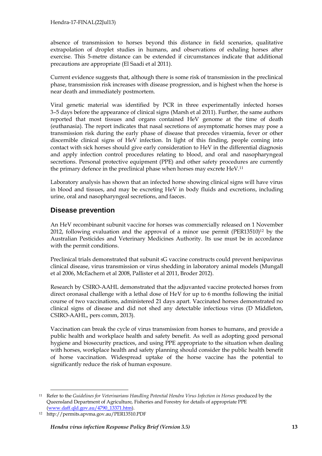absence of transmission to horses beyond this distance in field scenarios, qualitative extrapolation of droplet studies in humans, and observations of exhaling horses after exercise. This 5-metre distance can be extended if circumstances indicate that additional precautions are appropriate (El Saadi et al 2011).

Current evidence suggests that, although there is some risk of transmission in the preclinical phase, transmission risk increases with disease progression, and is highest when the horse is near death and immediately postmortem.

Viral genetic material was identified by PCR in three experimentally infected horses 3–5 days before the appearance of clinical signs (Marsh et al 2011). Further, the same authors reported that most tissues and organs contained HeV genome at the time of death (euthanasia). The report indicates that nasal secretions of asymptomatic horses may pose a transmission risk during the early phase of disease that precedes viraemia, fever or other discernible clinical signs of HeV infection. In light of this finding, people coming into contact with sick horses should give early consideration to HeV in the differential diagnosis and apply infection control procedures relating to blood, and oral and nasopharyngeal secretions. Personal protective equipment (PPE) and other safety procedures are currently the primary defence in the preclinical phase when horses may excrete HeV.<sup>11</sup>

Laboratory analysis has shown that an infected horse showing clinical signs will have virus in blood and tissues, and may be excreting HeV in body fluids and excretions, including urine, oral and nasopharyngeal secretions, and faeces.

### **Disease prevention**

An HeV recombinant subunit vaccine for horses was commercially released on 1 November 2012, following evaluation and the approval of a minor use permit (PER13510) <sup>12</sup> by the Australian Pesticides and Veterinary Medicines Authority. Its use must be in accordance with the permit conditions.

Preclinical trials demonstrated that subunit sG vaccine constructs could prevent henipavirus clinical disease, virus transmission or virus shedding in laboratory animal models (Mungall et al 2006, McEachern et al 2008, Pallister et al 2011, Broder 2012).

Research by CSIRO-AAHL demonstrated that the adjuvanted vaccine protected horses from direct oronasal challenge with a lethal dose of HeV for up to 6 months following the initial course of two vaccinations, administered 21 days apart. Vaccinated horses demonstrated no clinical signs of disease and did not shed any detectable infectious virus (D Middleton, CSIRO-AAHL, pers comm, 2013).

Vaccination can break the cycle of virus transmission from horses to humans, and provide a public health and workplace health and safety benefit. As well as adopting good personal hygiene and biosecurity practices, and using PPE appropriate to the situation when dealing with horses, workplace health and safety planning should consider the public health benefit of horse vaccination. Widespread uptake of the horse vaccine has the potential to significantly reduce the risk of human exposure.

<sup>-</sup><sup>11</sup> Refer to the *Guidelines for Veterinarians Handling Potential Hendra Virus Infection in Horses produced by the* Queensland Department of Agriculture, Fisheries and Forestry for details of appropriate PPE [\(www.daff.qld.gov.au/4790\\_13371.htm\)](http://www.daff.qld.gov.au/4790_13371.htm).

<sup>12</sup> http://permits.apvma.gov.au/PER13510.PDF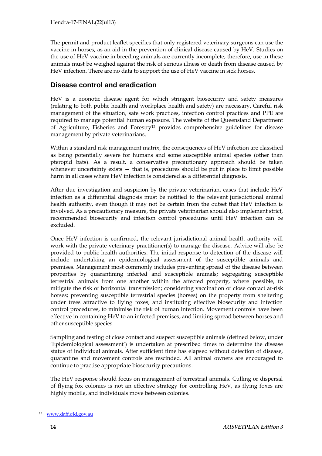The permit and product leaflet specifies that only registered veterinary surgeons can use the vaccine in horses, as an aid in the prevention of clinical disease caused by HeV. Studies on the use of HeV vaccine in breeding animals are currently incomplete; therefore, use in these animals must be weighed against the risk of serious illness or death from disease caused by HeV infection. There are no data to support the use of HeV vaccine in sick horses.

### **Disease control and eradication**

HeV is a zoonotic disease agent for which stringent biosecurity and safety measures (relating to both public health and workplace health and safety) are necessary. Careful risk management of the situation, safe work practices, infection control practices and PPE are required to manage potential human exposure. The website of the Queensland Department of Agriculture, Fisheries and Forestry<sup>13</sup> provides comprehensive guidelines for disease management by private veterinarians.

Within a standard risk management matrix, the consequences of HeV infection are classified as being potentially severe for humans and some susceptible animal species (other than pteropid bats). As a result, a conservative precautionary approach should be taken whenever uncertainty exists  $-$  that is, procedures should be put in place to limit possible harm in all cases where HeV infection is considered as a differential diagnosis.

After due investigation and suspicion by the private veterinarian, cases that include HeV infection as a differential diagnosis must be notified to the relevant jurisdictional animal health authority, even though it may not be certain from the outset that HeV infection is involved. As a precautionary measure, the private veterinarian should also implement strict, recommended biosecurity and infection control procedures until HeV infection can be excluded.

Once HeV infection is confirmed, the relevant jurisdictional animal health authority will work with the private veterinary practitioner(s) to manage the disease. Advice will also be provided to public health authorities. The initial response to detection of the disease will include undertaking an epidemiological assessment of the susceptible animals and premises. Management most commonly includes preventing spread of the disease between properties by quarantining infected and susceptible animals; segregating susceptible terrestrial animals from one another within the affected property, where possible, to mitigate the risk of horizontal transmission; considering vaccination of close contact at-risk horses; preventing susceptible terrestrial species (horses) on the property from sheltering under trees attractive to flying foxes; and instituting effective biosecurity and infection control procedures, to minimise the risk of human infection. Movement controls have been effective in containing HeV to an infected premises, and limiting spread between horses and other susceptible species.

Sampling and testing of close contact and suspect susceptible animals (defined below, under 'Epidemiological assessment') is undertaken at prescribed times to determine the disease status of individual animals. After sufficient time has elapsed without detection of disease, quarantine and movement controls are rescinded. All animal owners are encouraged to continue to practise appropriate biosecurity precautions.

The HeV response should focus on management of terrestrial animals. Culling or dispersal of flying fox colonies is not an effective strategy for controlling HeV, as flying foxes are highly mobile, and individuals move between colonies.

<sup>13</sup> [www.daff.qld.gov.au](http://www.daff.qld.gov.au/)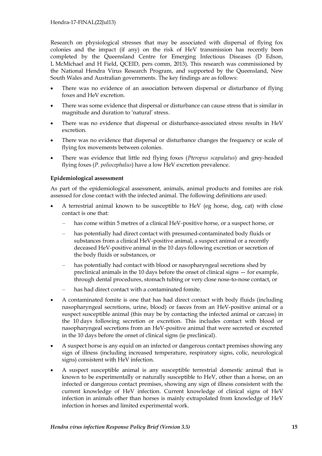Research on physiological stresses that may be associated with dispersal of flying fox colonies and the impact (if any) on the risk of HeV transmission has recently been completed by the Queensland Centre for Emerging Infectious Diseases (D Edson, L McMichael and H Field, QCEID, pers comm, 2013). This research was commissioned by the National Hendra Virus Research Program, and supported by the Queensland, New South Wales and Australian governments. The key findings are as follows:

- There was no evidence of an association between dispersal or disturbance of flying foxes and HeV excretion.
- There was some evidence that dispersal or disturbance can cause stress that is similar in magnitude and duration to 'natural' stress.
- There was no evidence that dispersal or disturbance-associated stress results in HeV excretion.
- There was no evidence that dispersal or disturbance changes the frequency or scale of flying fox movements between colonies.
- There was evidence that little red flying foxes (*Pteropus scapulatus*) and grey-headed flying foxes (*P. poliocephalus*) have a low HeV excretion prevalence.

#### **Epidemiological assessment**

As part of the epidemiological assessment, animals, animal products and fomites are risk assessed for close contact with the infected animal. The following definitions are used:

- A terrestrial animal known to be susceptible to HeV (eg horse, dog, cat) with close contact is one that:
	- has come within 5 metres of a clinical HeV-positive horse, or a suspect horse, or
	- has potentially had direct contact with presumed-contaminated body fluids or substances from a clinical HeV-positive animal, a suspect animal or a recently deceased HeV-positive animal in the 10 days following excretion or secretion of the body fluids or substances, or
	- has potentially had contact with blood or nasopharyngeal secretions shed by preclinical animals in the 10 days before the onset of clinical signs — for example, through dental procedures, stomach tubing or very close nose-to-nose contact, or
	- has had direct contact with a contaminated fomite.
- A contaminated fomite is one that has had direct contact with body fluids (including nasopharyngeal secretions, urine, blood) or faeces from an HeV-positive animal or a suspect susceptible animal (this may be by contacting the infected animal or carcass) in the 10 days following secretion or excretion. This includes contact with blood or nasopharyngeal secretions from an HeV-positive animal that were secreted or excreted in the 10 days before the onset of clinical signs (ie preclinical).
- A suspect horse is any equid on an infected or dangerous contact premises showing any sign of illness (including increased temperature, respiratory signs, colic, neurological signs) consistent with HeV infection.
- A suspect susceptible animal is any susceptible terrestrial domestic animal that is known to be experimentally or naturally susceptible to HeV, other than a horse, on an infected or dangerous contact premises, showing any sign of illness consistent with the current knowledge of HeV infection. Current knowledge of clinical signs of HeV infection in animals other than horses is mainly extrapolated from knowledge of HeV infection in horses and limited experimental work.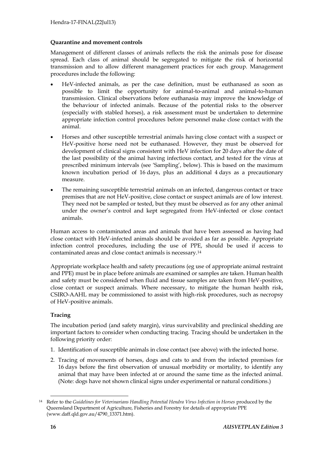#### **Quarantine and movement controls**

Management of different classes of animals reflects the risk the animals pose for disease spread. Each class of animal should be segregated to mitigate the risk of horizontal transmission and to allow different management practices for each group. Management procedures include the following:

- HeV-infected animals, as per the case definition, must be euthanased as soon as possible to limit the opportunity for animal-to-animal and animal-to-human transmission. Clinical observations before euthanasia may improve the knowledge of the behaviour of infected animals. Because of the potential risks to the observer (especially with stabled horses), a risk assessment must be undertaken to determine appropriate infection control procedures before personnel make close contact with the animal.
- Horses and other susceptible terrestrial animals having close contact with a suspect or HeV-positive horse need not be euthanased. However, they must be observed for development of clinical signs consistent with HeV infection for 20 days after the date of the last possibility of the animal having infectious contact, and tested for the virus at prescribed minimum intervals (see 'Sampling', below). This is based on the maximum known incubation period of 16 days, plus an additional 4 days as a precautionary measure.
- The remaining susceptible terrestrial animals on an infected, dangerous contact or trace premises that are not HeV-positive, close contact or suspect animals are of low interest. They need not be sampled or tested, but they must be observed as for any other animal under the owner's control and kept segregated from HeV-infected or close contact animals.

Human access to contaminated areas and animals that have been assessed as having had close contact with HeV-infected animals should be avoided as far as possible. Appropriate infection control procedures, including the use of PPE, should be used if access to contaminated areas and close contact animals is necessary.<sup>14</sup>

Appropriate workplace health and safety precautions (eg use of appropriate animal restraint and PPE) must be in place before animals are examined or samples are taken. Human health and safety must be considered when fluid and tissue samples are taken from HeV-positive, close contact or suspect animals. Where necessary, to mitigate the human health risk, CSIRO-AAHL may be commissioned to assist with high-risk procedures, such as necropsy of HeV-positive animals.

#### **Tracing**

The incubation period (and safety margin), virus survivability and preclinical shedding are important factors to consider when conducting tracing. Tracing should be undertaken in the following priority order:

- 1. Identification of susceptible animals in close contact (see above) with the infected horse.
- 2. Tracing of movements of horses, dogs and cats to and from the infected premises for 16 days before the first observation of unusual morbidity or mortality, to identify any animal that may have been infected at or around the same time as the infected animal. (Note: dogs have not shown clinical signs under experimental or natural conditions.)

<sup>-</sup><sup>14</sup> Refer to the *Guidelines for Veterinarians Handling Potential Hendra Virus Infection in Horses produced by the* Queensland Department of Agriculture, Fisheries and Forestry for details of appropriate PPE (www.daff.qld.gov.au/4790\_13371.htm).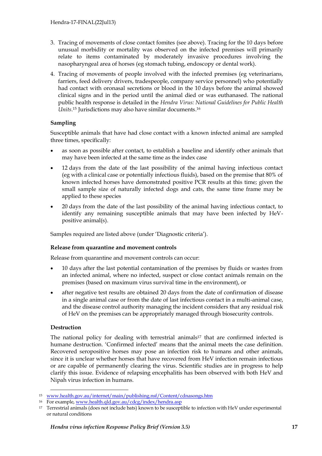- 3. Tracing of movements of close contact fomites (see above). Tracing for the 10 days before unusual morbidity or mortality was observed on the infected premises will primarily relate to items contaminated by moderately invasive procedures involving the nasopharyngeal area of horses (eg stomach tubing, endoscopy or dental work).
- 4. Tracing of movements of people involved with the infected premises (eg veterinarians, farriers, feed delivery drivers, tradespeople, company service personnel) who potentially had contact with oronasal secretions or blood in the 10 days before the animal showed clinical signs and in the period until the animal died or was euthanased. The national public health response is detailed in the *Hendra Virus: National Guidelines for Public Health Units*. <sup>15</sup> Jurisdictions may also have similar documents. 16

#### **Sampling**

Susceptible animals that have had close contact with a known infected animal are sampled three times, specifically:

- as soon as possible after contact, to establish a baseline and identify other animals that may have been infected at the same time as the index case
- 12 days from the date of the last possibility of the animal having infectious contact (eg with a clinical case or potentially infectious fluids), based on the premise that 80% of known infected horses have demonstrated positive PCR results at this time; given the small sample size of naturally infected dogs and cats, the same time frame may be applied to these species
- 20 days from the date of the last possibility of the animal having infectious contact, to identify any remaining susceptible animals that may have been infected by HeVpositive animal(s).

Samples required are listed above (under 'Diagnostic criteria').

#### **Release from quarantine and movement controls**

Release from quarantine and movement controls can occur:

- 10 days after the last potential contamination of the premises by fluids or wastes from an infected animal, where no infected, suspect or close contact animals remain on the premises (based on maximum virus survival time in the environment), or
- after negative test results are obtained 20 days from the date of confirmation of disease in a single animal case or from the date of last infectious contact in a multi-animal case, and the disease control authority managing the incident considers that any residual risk of HeV on the premises can be appropriately managed through biosecurity controls.

#### **Destruction**

The national policy for dealing with terrestrial animals<sup>17</sup> that are confirmed infected is humane destruction. 'Confirmed infected' means that the animal meets the case definition. Recovered seropositive horses may pose an infection risk to humans and other animals, since it is unclear whether horses that have recovered from HeV infection remain infectious or are capable of permanently clearing the virus. Scientific studies are in progress to help clarify this issue. Evidence of relapsing encephalitis has been observed with both HeV and Nipah virus infection in humans.

<sup>-</sup><sup>15</sup> [www.health.gov.au/internet/main/publishing.nsf/Content/cdnasongs.htm](http://www.health.gov.au/internet/main/publishing.nsf/Content/cdnasongs.htm)

<sup>16</sup> For example, [www.health.qld.gov.au/cdcg/index/hendra.asp](http://www.health.qld.gov.au/cdcg/index/hendra.asp)

<sup>17</sup> Terrestrial animals (does not include bats) known to be susceptible to infection with HeV under experimental or natural conditions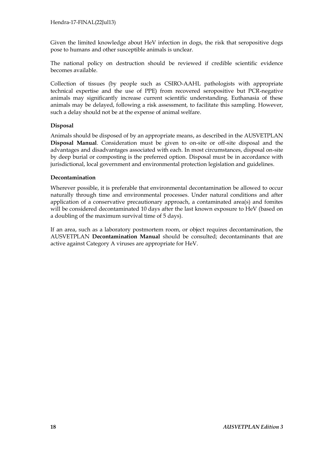Given the limited knowledge about HeV infection in dogs, the risk that seropositive dogs pose to humans and other susceptible animals is unclear.

The national policy on destruction should be reviewed if credible scientific evidence becomes available.

Collection of tissues (by people such as CSIRO-AAHL pathologists with appropriate technical expertise and the use of PPE) from recovered seropositive but PCR-negative animals may significantly increase current scientific understanding. Euthanasia of these animals may be delayed, following a risk assessment, to facilitate this sampling. However, such a delay should not be at the expense of animal welfare.

#### **Disposal**

Animals should be disposed of by an appropriate means, as described in the AUSVETPLAN **Disposal Manual**. Consideration must be given to on-site or off-site disposal and the advantages and disadvantages associated with each. In most circumstances, disposal on-site by deep burial or composting is the preferred option. Disposal must be in accordance with jurisdictional, local government and environmental protection legislation and guidelines.

#### **Decontamination**

Wherever possible, it is preferable that environmental decontamination be allowed to occur naturally through time and environmental processes. Under natural conditions and after application of a conservative precautionary approach, a contaminated area(s) and fomites will be considered decontaminated 10 days after the last known exposure to HeV (based on a doubling of the maximum survival time of 5 days).

If an area, such as a laboratory postmortem room, or object requires decontamination, the AUSVETPLAN **Decontamination Manual** should be consulted; decontaminants that are active against Category A viruses are appropriate for HeV.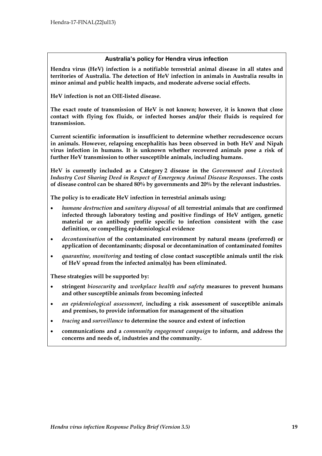#### **Australia's policy for Hendra virus infection**

**Hendra virus (HeV) infection is a notifiable terrestrial animal disease in all states and territories of Australia. The detection of HeV infection in animals in Australia results in minor animal and public health impacts, and moderate adverse social effects.**

**HeV infection is not an OIE-listed disease.** 

**The exact route of transmission of HeV is not known; however, it is known that close contact with flying fox fluids, or infected horses and/or their fluids is required for transmission.**

**Current scientific information is insufficient to determine whether recrudescence occurs in animals. However, relapsing encephalitis has been observed in both HeV and Nipah virus infection in humans. It is unknown whether recovered animals pose a risk of further HeV transmission to other susceptible animals, including humans.**

**HeV is currently included as a Category 2 disease in the** *Government and Livestock Industry Cost Sharing Deed in Respect of Emergency Animal Disease Responses***. The costs of disease control can be shared 80% by governments and 20% by the relevant industries.**

**The policy is to eradicate HeV infection in terrestrial animals using:**

- *humane destruction* **and** *sanitary disposal* **of all terrestrial animals that are confirmed infected through laboratory testing and positive findings of HeV antigen, genetic material or an antibody profile specific to infection consistent with the case definition, or compelling epidemiological evidence**
- *decontamination* **of the contaminated environment by natural means (preferred) or application of decontaminants; disposal or decontamination of contaminated fomites**
- *quarantine, monitoring* **and testing of close contact susceptible animals until the risk of HeV spread from the infected animal(s) has been eliminated.**

**These strategies will be supported by:**

- **stringent** *biosecurity* **and** *workplace health and safety* **measures to prevent humans and other susceptible animals from becoming infected**
- *an epidemiological assessment***, including a risk assessment of susceptible animals and premises, to provide information for management of the situation**
- *tracing* **and** *surveillance* **to determine the source and extent of infection**
- **communications and a** *community engagement campaign* **to inform, and address the concerns and needs of, industries and the community.**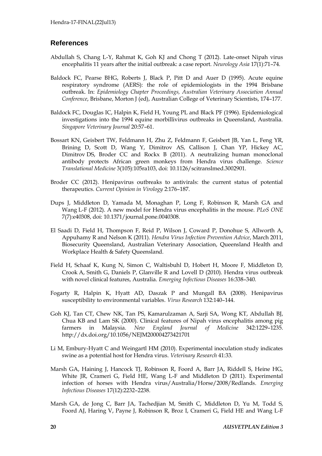#### **References**

- Abdullah S, Chang L-Y, Rahmat K, Goh KJ and Chong T (2012). Late-onset Nipah virus encephalitis 11 years after the initial outbreak: a case report. *Neurology Asia* 17(1):71–74.
- Baldock FC, Pearse BHG, Roberts J, Black P, Pitt D and Auer D (1995). Acute equine respiratory syndrome (AERS): the role of epidemiologists in the 1994 Brisbane outbreak. In: *Epidemiology Chapter Proceedings, Australian Veterinary Association Annual Conference*, Brisbane, Morton J (ed), Australian College of Veterinary Scientists, 174–177.
- Baldock FC, Douglas IC, Halpin K, Field H, Young PL and Black PF (1996). Epidemiological investigations into the 1994 equine morbillivirus outbreaks in Queensland, Australia. *Singapore Veterinary Journal* 20:57–61.
- [Bossart KN,](http://www.ncbi.nlm.nih.gov/pubmed?term=Bossart%20KN%5BAuthor%5D&cauthor=true&cauthor_uid=22013123) [Geisbert TW,](http://www.ncbi.nlm.nih.gov/pubmed?term=Geisbert%20TW%5BAuthor%5D&cauthor=true&cauthor_uid=22013123) [Feldmann H,](http://www.ncbi.nlm.nih.gov/pubmed?term=Feldmann%20H%5BAuthor%5D&cauthor=true&cauthor_uid=22013123) [Zhu Z,](http://www.ncbi.nlm.nih.gov/pubmed?term=Zhu%20Z%5BAuthor%5D&cauthor=true&cauthor_uid=22013123) [Feldmann F,](http://www.ncbi.nlm.nih.gov/pubmed?term=Feldmann%20F%5BAuthor%5D&cauthor=true&cauthor_uid=22013123) [Geisbert JB,](http://www.ncbi.nlm.nih.gov/pubmed?term=Geisbert%20JB%5BAuthor%5D&cauthor=true&cauthor_uid=22013123) [Yan L,](http://www.ncbi.nlm.nih.gov/pubmed?term=Yan%20L%5BAuthor%5D&cauthor=true&cauthor_uid=22013123) [Feng YR,](http://www.ncbi.nlm.nih.gov/pubmed?term=Feng%20YR%5BAuthor%5D&cauthor=true&cauthor_uid=22013123) [Brining D,](http://www.ncbi.nlm.nih.gov/pubmed?term=Brining%20D%5BAuthor%5D&cauthor=true&cauthor_uid=22013123) [Scott D,](http://www.ncbi.nlm.nih.gov/pubmed?term=Scott%20D%5BAuthor%5D&cauthor=true&cauthor_uid=22013123) [Wang Y,](http://www.ncbi.nlm.nih.gov/pubmed?term=Wang%20Y%5BAuthor%5D&cauthor=true&cauthor_uid=22013123) [Dimitrov AS,](http://www.ncbi.nlm.nih.gov/pubmed?term=Dimitrov%20AS%5BAuthor%5D&cauthor=true&cauthor_uid=22013123) [Callison J,](http://www.ncbi.nlm.nih.gov/pubmed?term=Callison%20J%5BAuthor%5D&cauthor=true&cauthor_uid=22013123) [Chan YP,](http://www.ncbi.nlm.nih.gov/pubmed?term=Chan%20YP%5BAuthor%5D&cauthor=true&cauthor_uid=22013123) [Hickey AC,](http://www.ncbi.nlm.nih.gov/pubmed?term=Hickey%20AC%5BAuthor%5D&cauthor=true&cauthor_uid=22013123) [Dimitrov](http://www.ncbi.nlm.nih.gov/pubmed?term=Dimitrov%20DS%5BAuthor%5D&cauthor=true&cauthor_uid=22013123) DS, [Broder CC](http://www.ncbi.nlm.nih.gov/pubmed?term=Broder%20CC%5BAuthor%5D&cauthor=true&cauthor_uid=22013123) and [Rockx B](http://www.ncbi.nlm.nih.gov/pubmed?term=Rockx%20B%5BAuthor%5D&cauthor=true&cauthor_uid=22013123) (2011). A neutralizing human monoclonal antibody protects African green monkeys from Hendra virus challenge. *[Science](http://www.ncbi.nlm.nih.gov/pubmed/22013123##)  [Translational Medicine](http://www.ncbi.nlm.nih.gov/pubmed/22013123##)* 3(105):105ra103, doi: 10.1126/scitranslmed.3002901.
- Broder CC (2012). Henipavirus outbreaks to antivirals: the current status of potential therapeutics. *Current Opinion in Virology* 2:176–187.
- Dups J, Middleton D, Yamada M, Monaghan P, Long F, Robinson R, Marsh GA and Wang L-F (2012). A new model for Hendra virus encephalitis in the mouse. *PLoS ONE* 7(7):e40308, doi: 10.1371/journal.pone.0040308.
- El Saadi D, Field H, Thompson F, Reid P, Wilson J, Coward P, Donohue S, Allworth A, Appuhamy R and Nelson K (2011). *Hendra Virus Infection Prevention Advice*, March 2011, Biosecurity Queensland, Australian Veterinary Association, Queensland Health and Workplace Health & Safety Queensland.
- Field H, Schaaf K, Kung N, Simon C, Waltisbuhl D, Hobert H, Moore F, Middleton D, Crook A, Smith G, Daniels P, Glanville R and Lovell D (2010). Hendra virus outbreak with novel clinical features, Australia. *Emerging Infectious Diseases* 16:338–340.
- Fogarty R, Halpin K, Hyatt AD, Daszak P and Mungall BA (2008). Henipavirus susceptibility to environmental variables. *Virus Research* 132:140–144.
- Goh KJ, Tan CT, Chew NK, Tan PS, Kamarulzaman A, Sarji SA, Wong KT, Abdullah BJ, Chua KB and Lam SK (2000). Clinical features of Nipah virus encephalitis among pig farmers in Malaysia. *New England Journal of Medicine* 342:1229–1235. <http://dx.doi.org/10.1056/NEJM200004273421701>
- Li M, Embury-Hyatt C and Weingartl HM (2010). Experimental inoculation study indicates swine as a potential host for Hendra virus. *Veterinary Research* 41:33.
- Marsh GA, Haining J, Hancock TJ, Robinson R, Foord A, Barr JA, Riddell S, Heine HG, White JR, Crameri G, Field HE, Wang L-F and Middleton D (2011). Experimental infection of horses with Hendra virus/Australia/Horse/2008/Redlands. *Emerging Infectious Diseases* 17(12):2232–2238.
- Marsh GA, de Jong C, Barr JA, Tachedjian M, Smith C, Middleton D, Yu M, Todd S, Foord AJ, Haring V, Payne J, Robinson R, Broz I, Crameri G, Field HE and Wang L-F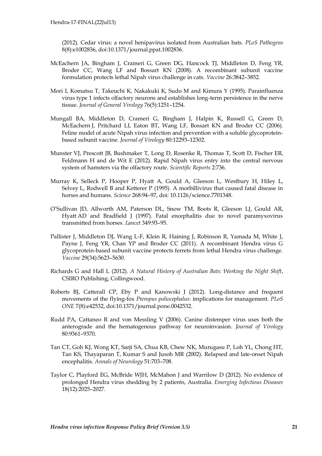(2012). Cedar virus: a novel henipavirus isolated from Australian bats. *PLoS Pathogens* 8(8):e1002836, doi:10.1371/journal.ppat.1002836.

- McEachern JA, Bingham J, Crameri G, Green DG, Hancock TJ, Middleton D, Feng YR, Broder CC, Wang LF and Bossart KN (2008). A recombinant subunit vaccine formulation protects lethal Nipah virus challenge in cats. *Vaccine* 26:3842–3852.
- Mori I, Komatsu T, Takeuchi K, Nakakuki K, Sudo M and Kimura Y (1995). Parainfluenza virus type 1 infects olfactory neurons and establishes long-term persistence in the nerve tissue. *Journal of General Virology* 76(5):1251–1254.
- Mungall BA, Middleton D, Crameri G, Bingham J, Halpin K, Russell G, Green D, McEachern J, Pritchard LI, Eaton BT, Wang LF, Bossart KN and Broder CC (2006). Feline model of acute Nipah virus infection and prevention with a soluble glycoproteinbased subunit vaccine. *Journal of Virology* 80:12293–12302.
- [Munster](http://www.ncbi.nlm.nih.gov/pubmed/?term=Munster%20VJ%5Bauth%5D) VJ, [Prescott](http://www.ncbi.nlm.nih.gov/pubmed/?term=Prescott%20JB%5Bauth%5D) JB, [Bushmaker](http://www.ncbi.nlm.nih.gov/pubmed/?term=Bushmaker%20T%5Bauth%5D) T, [Long](http://www.ncbi.nlm.nih.gov/pubmed/?term=Long%20D%5Bauth%5D) D, [Rosenke](http://www.ncbi.nlm.nih.gov/pubmed/?term=Rosenke%20R%5Bauth%5D) R, [Thomas](http://www.ncbi.nlm.nih.gov/pubmed/?term=Thomas%20T%5Bauth%5D) T, [Scott](http://www.ncbi.nlm.nih.gov/pubmed/?term=Scott%20D%5Bauth%5D) D, [Fischer](http://www.ncbi.nlm.nih.gov/pubmed/?term=Fischer%20ER%5Bauth%5D) ER, [Feldmann](http://www.ncbi.nlm.nih.gov/pubmed/?term=Feldmann%20H%5Bauth%5D) H and [de Wit](http://www.ncbi.nlm.nih.gov/pubmed/?term=de%20Wit%20E%5Bauth%5D) E (2012). Rapid Nipah virus entry into the central nervous system of hamsters via the olfactory route. *Scientific Reports* 2:736.
- Murray K, Selleck P, Hooper P, Hyatt A, Gould A, Gleeson L, Westbury H, Hiley L, Selvey L, Rodwell B and Ketterer P (1995). A morbillivirus that caused fatal disease in horses and humans. *Science* 268:94–97, doi: 10.1126/science.7701348.
- O'Sullivan JD, Allworth AM, Paterson DL, Snow TM, Boots R, Gleeson LJ, Gould AR, Hyatt AD and Bradfield J (1997). Fatal encephalitis due to novel paramyxovirus transmitted from horses. *Lancet* 349:93–95.
- Pallister J, Middleton DJ, Wang L-F, Klein R, Haining J, Robinson R, Yamada M, White J, Payne J, Feng YR, Chan YP and Broder CC (2011). A recombinant Hendra virus G glycoprotein-based subunit vaccine protects ferrets from lethal Hendra virus challenge. *Vaccine* 29(34):5623–5630.
- Richards G and Hall L (2012). *A Natural History of Australian Bats: Working the Night Shift*, CSIRO Publishing, Collingwood.
- Roberts BJ, Catterall CP, Eby P and Kanowski J (2012). Long-distance and frequent movements of the flying-fox *Pteropus poliocephalus*: implications for management. *PLoS ONE* 7(8):e42532, doi:10.1371/journal.pone.0042532.
- Rudd PA, Cattaneo R and von Messling V (2006). Canine distemper virus uses both the anterograde and the hematogenous pathway for neuroinvasion. *Journal of Virology* 80:9361–9370.
- Tan CT, Goh KJ, Wong KT, Sarji SA, Chua KB, Chew NK, Murugasu P, Loh YL, Chong HT, Tan KS, Thayaparan T, Kumar S and Jusoh MR (2002). Relapsed and late-onset Nipah encephalitis. *Annals of Neurology* 51:703–708.
- Taylor C, Playford EG, McBride WJH, McMahon J and Warrilow D (2012). No evidence of prolonged Hendra virus shedding by 2 patients, Australia. *Emerging Infectious Diseases* 18(12):2025–2027.